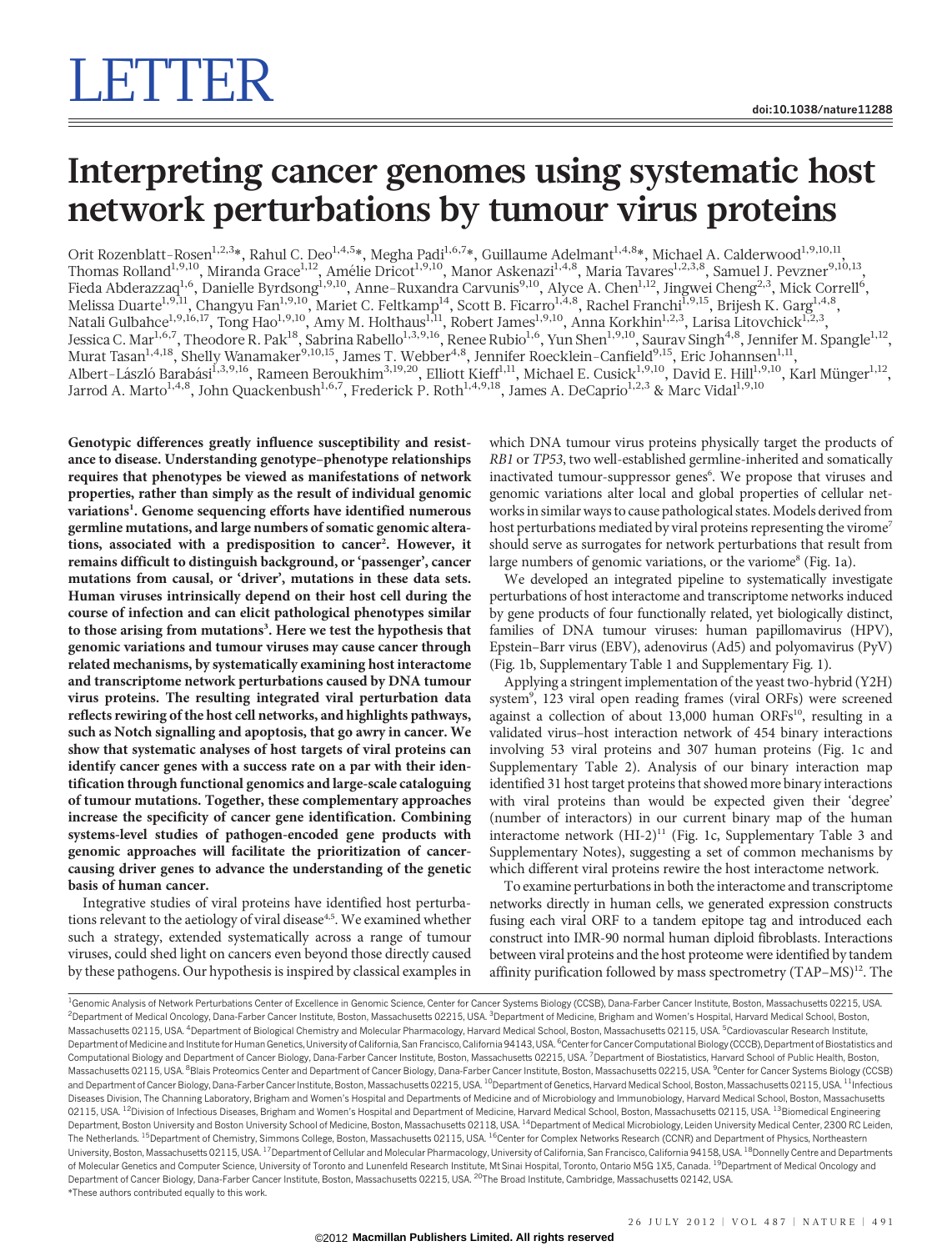## Interpreting cancer genomes using systematic host network perturbations by tumour virus proteins

Orit Rozenblatt-Rosen<sup>1,2,3</sup>\*, Rahul C. Deo<sup>1,4,5</sup>\*, Megha Padi<sup>1,6,7</sup>\*, Guillaume Adelmant<sup>1,4,8</sup>\*, Michael A. Calderwood<sup>1,9,10,11</sup>, Thomas Rolland<sup>1,9,10</sup>, Miranda Grace<sup>1,12</sup>, Amélie Dricot<sup>1,9,10</sup>, Manor Askenazi<sup>1,4,8</sup>, Maria Tavares<sup>1,2,3,8</sup>, Samuel J. Pevzner<sup>9,10,13</sup>, Fieda Abderazzaq<sup>1,6</sup>, Danielle Byrdsong<sup>1,9,10</sup>, Anne-Ruxandra Carvunis<sup>9,10</sup>, Alyce A. Chen<sup>1,12</sup>, Jingwei Cheng<sup>2,3</sup>, Mick Correll<sup>6</sup>, Melissa Duarte<sup>1,9,11</sup>, Changyu Fan<sup>1,9,10</sup>, Mariet C. Feltkamp<sup>14</sup>, Scott B. Ficarro<sup>1,4,8</sup>, Rachel Franchi<sup>1,9,15</sup>, Brijesh K. Garg<sup>1,4,8</sup>, Natali Gulbahce $^{1,9,16,17},$  Tong Hao $^{1,9,10},$  Amy M. Holthaus $^{1,11},$  Robert James $^{1,9,10},$  Anna Korkhin $^{1,2,3},$  Larisa Litovchick $^{1,2,3},$ Jessica C. Mar<sup>1,6,7</sup>, Theodore R. Pak<sup>18</sup>, Sabrina Rabello<sup>1,3,9,16</sup>, Renee Rubio<sup>1,6</sup>, Yun Shen<sup>1,9,10</sup>, Saurav Singh<sup>4,8</sup>, Jennifer M. Spangle<sup>1,12</sup>, Murat Tasan<sup>1,4,18</sup>, Shelly Wanamaker<sup>9,10,15</sup>, James T. Webber<sup>4,8</sup>, Jennifer Roecklein-Canfield<sup>9,15</sup>, Eric Johannsen<sup>1,11</sup>, Albert-László Barabási<sup>1,3,9,16</sup>, Rameen Beroukhim<sup>3,19,20</sup>, Elliott Kieff<sup>1,11</sup>, Michael E. Cusick<sup>1,9,10</sup>, David E. Hill<sup>1,9,10</sup>, Karl Münger<sup>1,12</sup>, Jarrod A. Marto<sup>1,4,8</sup>, John Quackenbush<sup>1,6,7</sup>, Frederick P. Roth<sup>1,4,9,18</sup>, James A. DeCaprio<sup>1,2,3</sup> & Marc Vidal<sup>1,9,10</sup>

Genotypic differences greatly influence susceptibility and resistance to disease. Understanding genotype–phenotype relationships requires that phenotypes be viewed as manifestations of network properties, rather than simply as the result of individual genomic variations<sup>1</sup>. Genome sequencing efforts have identified numerous germline mutations, and large numbers of somatic genomic alterations, associated with a predisposition to cancer<sup>2</sup>. However, it remains difficult to distinguish background, or 'passenger', cancer mutations from causal, or 'driver', mutations in these data sets. Human viruses intrinsically depend on their host cell during the course of infection and can elicit pathological phenotypes similar to those arising from mutations<sup>3</sup>. Here we test the hypothesis that genomic variations and tumour viruses may cause cancer through related mechanisms, by systematically examining host interactome and transcriptome network perturbations caused by DNA tumour virus proteins. The resulting integrated viral perturbation data reflects rewiring of the host cell networks, and highlights pathways, such as Notch signalling and apoptosis, that go awry in cancer. We show that systematic analyses of host targets of viral proteins can identify cancer genes with a success rate on a par with their identification through functional genomics and large-scale cataloguing of tumour mutations. Together, these complementary approaches increase the specificity of cancer gene identification. Combining systems-level studies of pathogen-encoded gene products with genomic approaches will facilitate the prioritization of cancercausing driver genes to advance the understanding of the genetic basis of human cancer.

Integrative studies of viral proteins have identified host perturbations relevant to the aetiology of viral disease<sup>4,5</sup>. We examined whether such a strategy, extended systematically across a range of tumour viruses, could shed light on cancers even beyond those directly caused by these pathogens. Our hypothesis is inspired by classical examples in

which DNA tumour virus proteins physically target the products of RB1 or TP53, two well-established germline-inherited and somatically inactivated tumour-suppressor genes<sup>6</sup>. We propose that viruses and genomic variations alter local and global properties of cellular networks in similar ways to cause pathological states. Models derived from host perturbations mediated by viral proteins representing the virome<sup>7</sup> should serve as surrogates for network perturbations that result from large numbers of genomic variations, or the variome<sup>8</sup> (Fig. 1a).

We developed an integrated pipeline to systematically investigate perturbations of host interactome and transcriptome networks induced by gene products of four functionally related, yet biologically distinct, families of DNA tumour viruses: human papillomavirus (HPV), Epstein–Barr virus (EBV), adenovirus (Ad5) and polyomavirus (PyV) (Fig. 1b, Supplementary Table 1 and Supplementary Fig. 1).

Applying a stringent implementation of the yeast two-hybrid (Y2H) system9 , 123 viral open reading frames (viral ORFs) were screened against a collection of about  $13,000$  human ORFs<sup>10</sup>, resulting in a validated virus–host interaction network of 454 binary interactions involving 53 viral proteins and 307 human proteins (Fig. 1c and Supplementary Table 2). Analysis of our binary interaction map identified 31 host target proteins that showed more binary interactions with viral proteins than would be expected given their 'degree' (number of interactors) in our current binary map of the human interactome network (HI-2)<sup>11</sup> (Fig. 1c, Supplementary Table 3 and Supplementary Notes), suggesting a set of common mechanisms by which different viral proteins rewire the host interactome network.

To examine perturbations in both the interactome and transcriptome networks directly in human cells, we generated expression constructs fusing each viral ORF to a tandem epitope tag and introduced each construct into IMR-90 normal human diploid fibroblasts. Interactions between viral proteins and the host proteome were identified by tandem affinity purification followed by mass spectrometry  $(TAP-MS)^{12}$ . The

<sup>\*</sup>These authors contributed equally to this work. <sup>1</sup>Genomic Analysis of Network Perturbations Center of Excellence in Genomic Science, Center for Cancer Systems Biology (CCSB), Dana-Farber Cancer Institute, Boston, Massachusetts 02215, USA <sup>2</sup>Department of Medical Oncology, Dana-Farber Cancer Institute, Boston, Massachusetts 02215, USA. <sup>3</sup>Department of Medicine, Brigham and Women's Hospital, Harvard Medical School, Boston Massachusetts 02115, USA. <sup>4</sup>Department of Biological Chemistry and Molecular Pharmacology, Harvard Medical School, Boston, Massachusetts 02115, USA. <sup>5</sup>Cardiovascular Research Institute Department of Medicine and Institute for Human Genetics, University of California, San Francisco, California 94143, USA. <sup>6</sup>Center for Cancer Computational Biology (CCCB), Department of Biostatistics and Computational Biology and Department of Cancer Biology, Dana-Farber Cancer Institute, Boston, Massachusetts 02215, USA. <sup>7</sup>Department of Biostatistics, Harvard School of Public Health, Boston Massachusetts 02115, USA. <sup>8</sup>Blais Proteomics Center and Department of Cancer Biology, Dana-Farber Cancer Institute, Boston, Massachusetts 02215, USA. <sup>9</sup>Center for Cancer Systems Biology (CCSB) and Department of Cancer Biology, Dana-Farber Cancer Institute, Boston, Massachusetts 02215, USA. <sup>10</sup>Department of Genetics, Harvard Medical School, Boston, Massachusetts 02115, USA. <sup>11</sup>Infectious Diseases Division, The Channing Laboratory, Brigham and Women's Hospital and Departments of Medicine and of Microbiology and Immunobiology, Harvard Medical School, Boston, Massachusetts 02115, USA. <sup>12</sup>Division of Infectious Diseases, Brigham and Women's Hospital and Department of Medicine, Harvard Medical School, Boston, Massachusetts 02115, USA. <sup>13</sup>Biomedical Engineering Department, Boston University and Boston University School of Medicine, Boston, Massachusetts 02118, USA. <sup>14</sup>Department of Medical Microbiology, Leiden University Medical Center, 2300 RC Leiden, The Netherlands. <sup>15</sup>Department of Chemistry, Simmons College, Boston, Massachusetts 02115, USA. <sup>16</sup>Center for Complex Networks Research (CCNR) and Department of Physics, Northeastern University, Boston, Massachusetts 02115, USA. <sup>17</sup>Department of Cellular and Molecular Pharmacology, University of California, San Francisco, California 94158, USA. <sup>18</sup>Donnelly Centre and Departments of Molecular Genetics and Computer Science, University of Toronto and Lunenfeld Research Institute, Mt Sinai Hospital, Toronto, Ontario M5G 1X5, Canada. <sup>19</sup>Department of Medical Oncology and Department of Cancer Biology, Dana-Farber Cancer Institute, Boston, Massachusetts 02215, USA. <sup>20</sup>The Broad Institute, Cambridge, Massachusetts 02142, USA.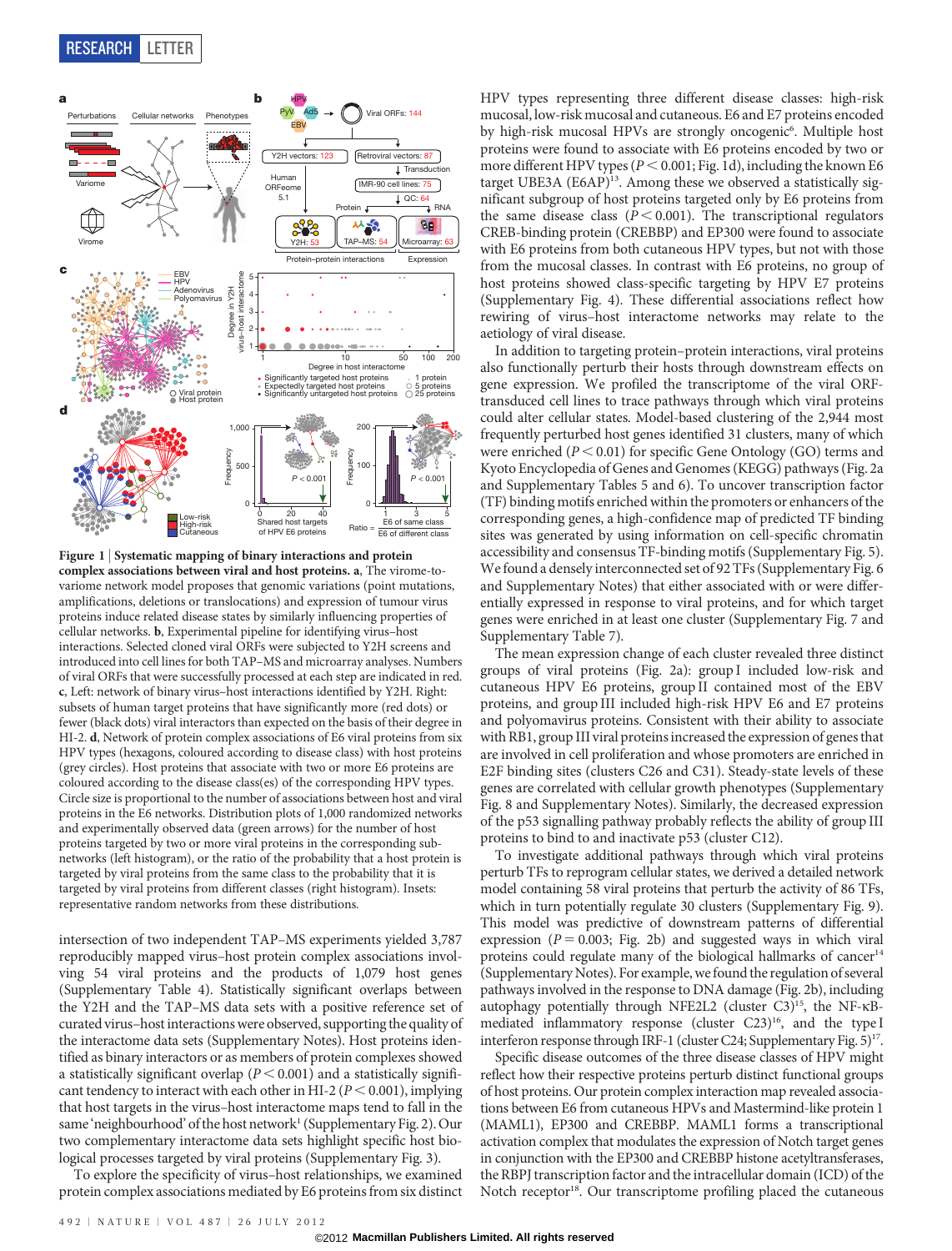

Figure 1 | Systematic mapping of binary interactions and protein complex associations between viral and host proteins. a, The virome-tovariome network model proposes that genomic variations (point mutations, amplifications, deletions or translocations) and expression of tumour virus proteins induce related disease states by similarly influencing properties of cellular networks. b, Experimental pipeline for identifying virus–host interactions. Selected cloned viral ORFs were subjected to Y2H screens and introduced into cell lines for both TAP–MS and microarray analyses. Numbers of viral ORFs that were successfully processed at each step are indicated in red. c, Left: network of binary virus–host interactions identified by Y2H. Right: subsets of human target proteins that have significantly more (red dots) or fewer (black dots) viral interactors than expected on the basis of their degree in HI-2. d, Network of protein complex associations of E6 viral proteins from six HPV types (hexagons, coloured according to disease class) with host proteins (grey circles). Host proteins that associate with two or more E6 proteins are coloured according to the disease class(es) of the corresponding HPV types. Circle size is proportional to the number of associations between host and viral proteins in the E6 networks. Distribution plots of 1,000 randomized networks and experimentally observed data (green arrows) for the number of host proteins targeted by two or more viral proteins in the corresponding subnetworks (left histogram), or the ratio of the probability that a host protein is targeted by viral proteins from the same class to the probability that it is targeted by viral proteins from different classes (right histogram). Insets: representative random networks from these distributions.

intersection of two independent TAP–MS experiments yielded 3,787 reproducibly mapped virus–host protein complex associations involving 54 viral proteins and the products of 1,079 host genes (Supplementary Table 4). Statistically significant overlaps between the Y2H and the TAP–MS data sets with a positive reference set of curated virus–host interactions were observed, supporting the quality of the interactome data sets (Supplementary Notes). Host proteins identified as binary interactors or as members of protein complexes showed a statistically significant overlap ( $P < 0.001$ ) and a statistically significant tendency to interact with each other in HI-2 ( $P < 0.001$ ), implying that host targets in the virus–host interactome maps tend to fall in the same 'neighbourhood' of the host network<sup>1</sup> (Supplementary Fig. 2). Our two complementary interactome data sets highlight specific host biological processes targeted by viral proteins (Supplementary Fig. 3).

To explore the specificity of virus–host relationships, we examined protein complex associations mediated by E6 proteins from six distinct HPV types representing three different disease classes: high-risk mucosal, low-risk mucosal and cutaneous. E6 and E7 proteins encoded by high-risk mucosal HPVs are strongly oncogenic<sup>6</sup>. Multiple host proteins were found to associate with E6 proteins encoded by two or more different HPV types ( $P < 0.001$ ; Fig. 1d), including the known E6 target UBE3A (E6AP)<sup>13</sup>. Among these we observed a statistically significant subgroup of host proteins targeted only by E6 proteins from the same disease class ( $P < 0.001$ ). The transcriptional regulators CREB-binding protein (CREBBP) and EP300 were found to associate with E6 proteins from both cutaneous HPV types, but not with those from the mucosal classes. In contrast with E6 proteins, no group of host proteins showed class-specific targeting by HPV E7 proteins (Supplementary Fig. 4). These differential associations reflect how rewiring of virus–host interactome networks may relate to the aetiology of viral disease.

In addition to targeting protein–protein interactions, viral proteins also functionally perturb their hosts through downstream effects on gene expression. We profiled the transcriptome of the viral ORFtransduced cell lines to trace pathways through which viral proteins could alter cellular states. Model-based clustering of the 2,944 most frequently perturbed host genes identified 31 clusters, many of which were enriched ( $P < 0.01$ ) for specific Gene Ontology (GO) terms and Kyoto Encyclopedia of Genes and Genomes (KEGG) pathways (Fig. 2a and Supplementary Tables 5 and 6). To uncover transcription factor (TF) binding motifs enriched within the promoters or enhancers of the corresponding genes, a high-confidence map of predicted TF binding sites was generated by using information on cell-specific chromatin accessibility and consensus TF-binding motifs (Supplementary Fig. 5). We found a densely interconnected set of 92 TFs (Supplementary Fig. 6 and Supplementary Notes) that either associated with or were differentially expressed in response to viral proteins, and for which target genes were enriched in at least one cluster (Supplementary Fig. 7 and Supplementary Table 7).

The mean expression change of each cluster revealed three distinct groups of viral proteins (Fig. 2a): group I included low-risk and cutaneous HPV E6 proteins, group II contained most of the EBV proteins, and group III included high-risk HPV E6 and E7 proteins and polyomavirus proteins. Consistent with their ability to associate with RB1, group III viral proteins increased the expression of genes that are involved in cell proliferation and whose promoters are enriched in E2F binding sites (clusters C26 and C31). Steady-state levels of these genes are correlated with cellular growth phenotypes (Supplementary Fig. 8 and Supplementary Notes). Similarly, the decreased expression of the p53 signalling pathway probably reflects the ability of group III proteins to bind to and inactivate p53 (cluster C12).

To investigate additional pathways through which viral proteins perturb TFs to reprogram cellular states, we derived a detailed network model containing 58 viral proteins that perturb the activity of 86 TFs, which in turn potentially regulate 30 clusters (Supplementary Fig. 9). This model was predictive of downstream patterns of differential expression ( $P = 0.003$ ; Fig. 2b) and suggested ways in which viral proteins could regulate many of the biological hallmarks of cancer<sup>14</sup> (Supplementary Notes). For example, wefound the regulation of several pathways involved in the response to DNA damage (Fig. 2b), including autophagy potentially through NFE2L2 (cluster C3)<sup>15</sup>, the NF-KBmediated inflammatory response (cluster C23)<sup>16</sup>, and the type I interferon response through IRF-1 (cluster C24; Supplementary Fig. 5)<sup>17</sup>.

Specific disease outcomes of the three disease classes of HPV might reflect how their respective proteins perturb distinct functional groups of host proteins. Our protein complex interaction map revealed associations between E6 from cutaneous HPVs and Mastermind-like protein 1 (MAML1), EP300 and CREBBP. MAML1 forms a transcriptional activation complex that modulates the expression of Notch target genes in conjunction with the EP300 and CREBBP histone acetyltransferases, the RBPJ transcription factor and the intracellular domain (ICD) of the Notch receptor<sup>18</sup>. Our transcriptome profiling placed the cutaneous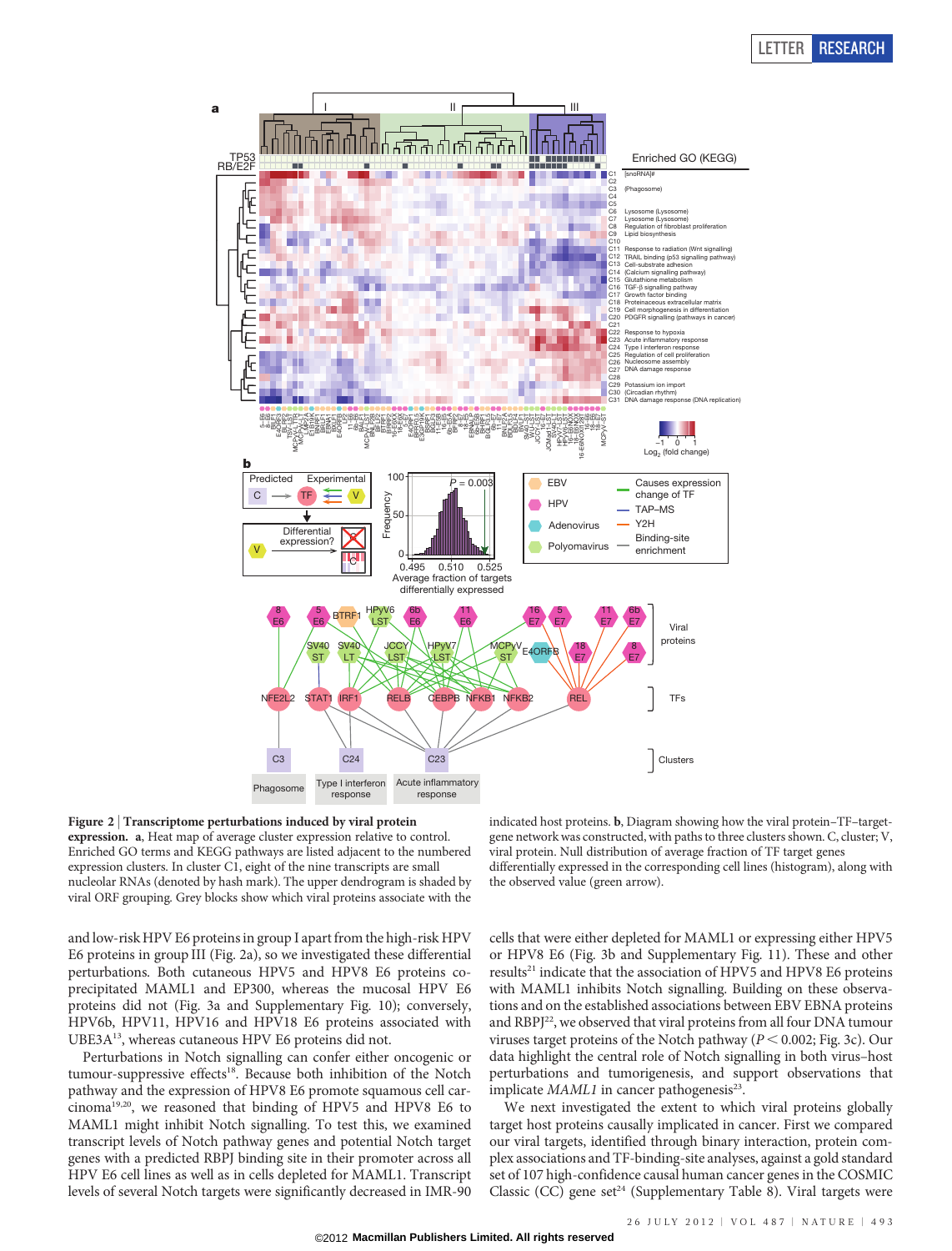

Figure 2 <sup>|</sup> Transcriptome perturbations induced by viral protein expression. a, Heat map of average cluster expression relative to control. Enriched GO terms and KEGG pathways are listed adjacent to the numbered expression clusters. In cluster C1, eight of the nine transcripts are small nucleolar RNAs (denoted by hash mark). The upper dendrogram is shaded by viral ORF grouping. Grey blocks show which viral proteins associate with the

and low-risk HPV E6 proteins in group I apart from the high-risk HPV E6 proteins in group III (Fig. 2a), so we investigated these differential perturbations. Both cutaneous HPV5 and HPV8 E6 proteins coprecipitated MAML1 and EP300, whereas the mucosal HPV E6 proteins did not (Fig. 3a and Supplementary Fig. 10); conversely, HPV6b, HPV11, HPV16 and HPV18 E6 proteins associated with UBE3A13, whereas cutaneous HPV E6 proteins did not.

Perturbations in Notch signalling can confer either oncogenic or tumour-suppressive effects<sup>18</sup>. Because both inhibition of the Notch pathway and the expression of HPV8 E6 promote squamous cell carcinoma19,20, we reasoned that binding of HPV5 and HPV8 E6 to MAML1 might inhibit Notch signalling. To test this, we examined transcript levels of Notch pathway genes and potential Notch target genes with a predicted RBPJ binding site in their promoter across all HPV E6 cell lines as well as in cells depleted for MAML1. Transcript levels of several Notch targets were significantly decreased in IMR-90 indicated host proteins. b, Diagram showing how the viral protein–TF–targetgene network was constructed, with paths to three clusters shown. C, cluster; V, viral protein. Null distribution of average fraction of TF target genes differentially expressed in the corresponding cell lines (histogram), along with the observed value (green arrow).

cells that were either depleted for MAML1 or expressing either HPV5 or HPV8 E6 (Fig. 3b and Supplementary Fig. 11). These and other results<sup>21</sup> indicate that the association of HPV5 and HPV8 E6 proteins with MAML1 inhibits Notch signalling. Building on these observations and on the established associations between EBV EBNA proteins and RBPJ<sup>22</sup>, we observed that viral proteins from all four DNA tumour viruses target proteins of the Notch pathway ( $P < 0.002$ ; Fig. 3c). Our data highlight the central role of Notch signalling in both virus–host perturbations and tumorigenesis, and support observations that implicate  $MAML1$  in cancer pathogenesis<sup>23</sup>.

We next investigated the extent to which viral proteins globally target host proteins causally implicated in cancer. First we compared our viral targets, identified through binary interaction, protein complex associations and TF-binding-site analyses, against a gold standard set of 107 high-confidence causal human cancer genes in the COSMIC Classic (CC) gene set<sup>24</sup> (Supplementary Table 8). Viral targets were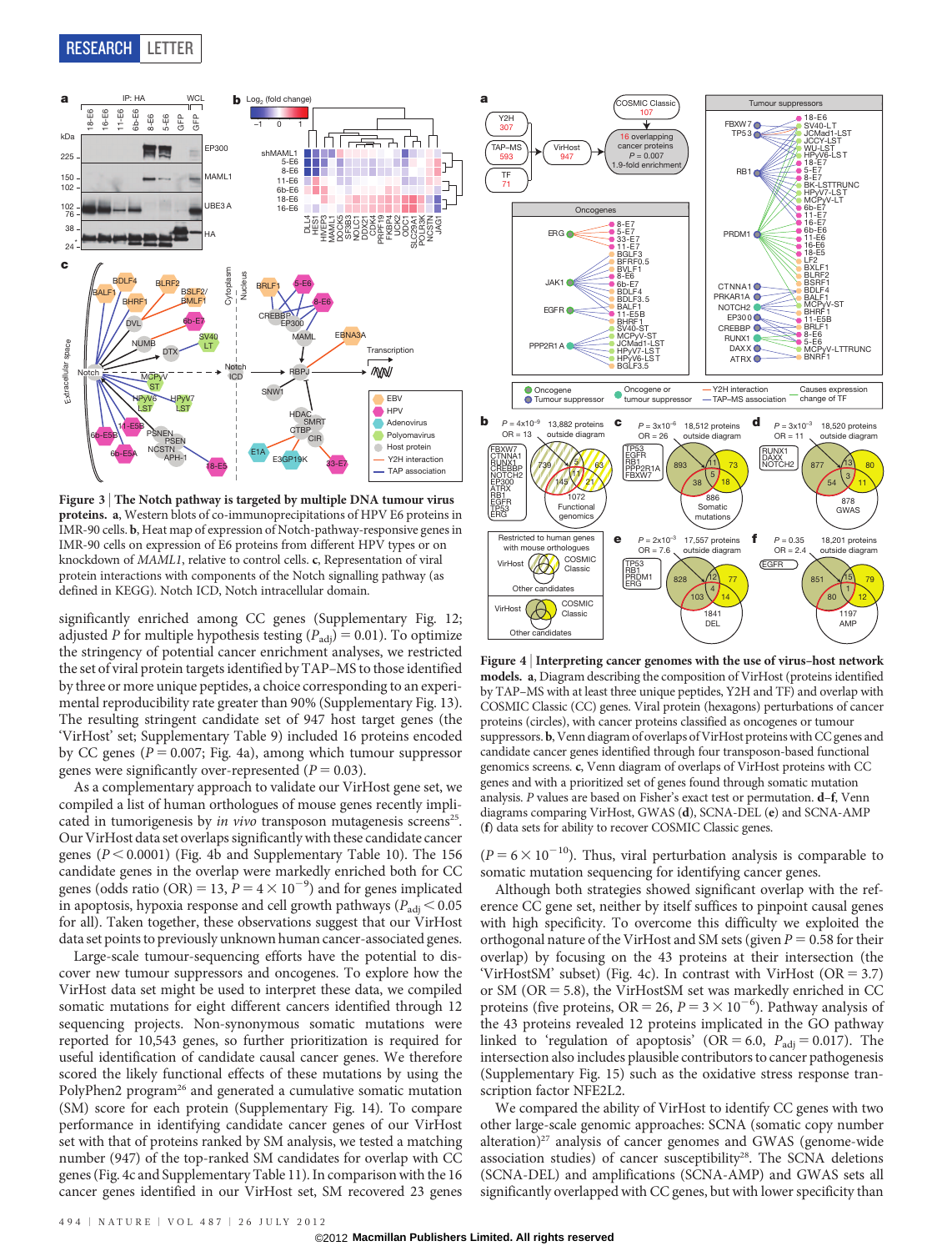## RESEARCH LETTER



Figure 3 | The Notch pathway is targeted by multiple DNA tumour virus proteins. a, Western blots of co-immunoprecipitations of HPV E6 proteins in IMR-90 cells. b, Heat map of expression of Notch-pathway-responsive genes in IMR-90 cells on expression of E6 proteins from different HPV types or on knockdown of MAML1, relative to control cells. c, Representation of viral protein interactions with components of the Notch signalling pathway (as defined in KEGG). Notch ICD, Notch intracellular domain.

significantly enriched among CC genes (Supplementary Fig. 12; adjusted P for multiple hypothesis testing  $(P_{\text{adj}}) = 0.01$ ). To optimize the stringency of potential cancer enrichment analyses, we restricted the set of viral protein targets identified by TAP–MS to those identified by three or more unique peptides, a choice corresponding to an experimental reproducibility rate greater than 90% (Supplementary Fig. 13). The resulting stringent candidate set of 947 host target genes (the 'VirHost' set; Supplementary Table 9) included 16 proteins encoded by CC genes ( $P = 0.007$ ; Fig. 4a), among which tumour suppressor genes were significantly over-represented ( $P = 0.03$ ).

As a complementary approach to validate our VirHost gene set, we compiled a list of human orthologues of mouse genes recently implicated in tumorigenesis by *in vivo* transposon mutagenesis screens<sup>25</sup>. Our VirHost data set overlaps significantly with these candidate cancer genes ( $P < 0.0001$ ) (Fig. 4b and Supplementary Table 10). The 156 candidate genes in the overlap were markedly enriched both for CC genes (odds ratio (OR) = 13,  $P = 4 \times 10^{-9}$ ) and for genes implicated in apoptosis, hypoxia response and cell growth pathways ( $P_{\text{adj}}$  < 0.05 for all). Taken together, these observations suggest that our VirHost data set points to previously unknown human cancer-associated genes.

Large-scale tumour-sequencing efforts have the potential to discover new tumour suppressors and oncogenes. To explore how the VirHost data set might be used to interpret these data, we compiled somatic mutations for eight different cancers identified through 12 sequencing projects. Non-synonymous somatic mutations were reported for 10,543 genes, so further prioritization is required for useful identification of candidate causal cancer genes. We therefore scored the likely functional effects of these mutations by using the PolyPhen2 program<sup>26</sup> and generated a cumulative somatic mutation (SM) score for each protein (Supplementary Fig. 14). To compare performance in identifying candidate cancer genes of our VirHost set with that of proteins ranked by SM analysis, we tested a matching number (947) of the top-ranked SM candidates for overlap with CC genes (Fig. 4c and Supplementary Table 11). In comparison with the 16 cancer genes identified in our VirHost set, SM recovered 23 genes



Figure 4 <sup>|</sup> Interpreting cancer genomes with the use of virus–host network models. a, Diagram describing the composition of VirHost (proteins identified by TAP–MS with at least three unique peptides, Y2H and TF) and overlap with COSMIC Classic (CC) genes. Viral protein (hexagons) perturbations of cancer proteins (circles), with cancer proteins classified as oncogenes or tumour suppressors. b, Venn diagram of overlaps of VirHost proteins with CC genes and candidate cancer genes identified through four transposon-based functional genomics screens. c, Venn diagram of overlaps of VirHost proteins with CC genes and with a prioritized set of genes found through somatic mutation analysis. P values are based on Fisher's exact test or permutation. d–f, Venn diagrams comparing VirHost, GWAS (d), SCNA-DEL (e) and SCNA-AMP (f) data sets for ability to recover COSMIC Classic genes.

 $(P = 6 \times 10^{-10})$ . Thus, viral perturbation analysis is comparable to somatic mutation sequencing for identifying cancer genes.

Although both strategies showed significant overlap with the reference CC gene set, neither by itself suffices to pinpoint causal genes with high specificity. To overcome this difficulty we exploited the orthogonal nature of the VirHost and SM sets (given  $P = 0.58$  for their overlap) by focusing on the 43 proteins at their intersection (the 'VirHostSM' subset) (Fig. 4c). In contrast with VirHost ( $OR = 3.7$ ) or SM ( $OR = 5.8$ ), the VirHostSM set was markedly enriched in CC proteins (five proteins, OR = 26,  $P = 3 \times 10^{-6}$ ). Pathway analysis of the 43 proteins revealed 12 proteins implicated in the GO pathway linked to 'regulation of apoptosis' (OR = 6.0,  $P_{\text{adj}} = 0.017$ ). The intersection also includes plausible contributors to cancer pathogenesis (Supplementary Fig. 15) such as the oxidative stress response transcription factor NFE2L2.

We compared the ability of VirHost to identify CC genes with two other large-scale genomic approaches: SCNA (somatic copy number alteration) $27$  analysis of cancer genomes and GWAS (genome-wide association studies) of cancer susceptibility<sup>28</sup>. The SCNA deletions (SCNA-DEL) and amplifications (SCNA-AMP) and GWAS sets all significantly overlapped with CC genes, but with lower specificity than